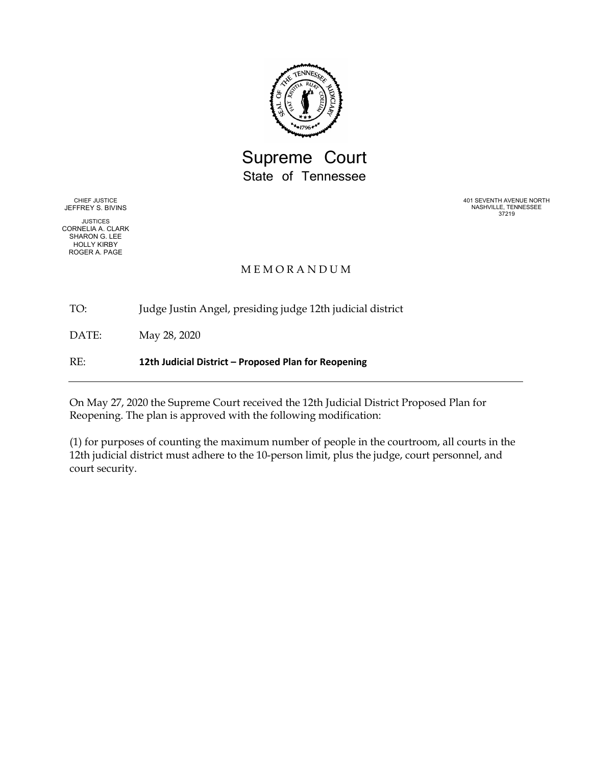

# Supreme Court State of Tennessee

CHIEF JUSTICE JEFFREY S. BIVINS

JUSTICES CORNELIA A. CLARK SHARON G. LEE HOLLY KIRBY ROGER A. PAGE

401 SEVENTH AVENUE NORTH NASHVILLE, TENNESSEE 37219

# M E M O R A N D U M

TO: Judge Justin Angel, presiding judge 12th judicial district

DATE: May 28, 2020

RE: **12th Judicial District – Proposed Plan for Reopening**

On May 27, 2020 the Supreme Court received the 12th Judicial District Proposed Plan for Reopening. The plan is approved with the following modification:

(1) for purposes of counting the maximum number of people in the courtroom, all courts in the 12th judicial district must adhere to the 10-person limit, plus the judge, court personnel, and court security.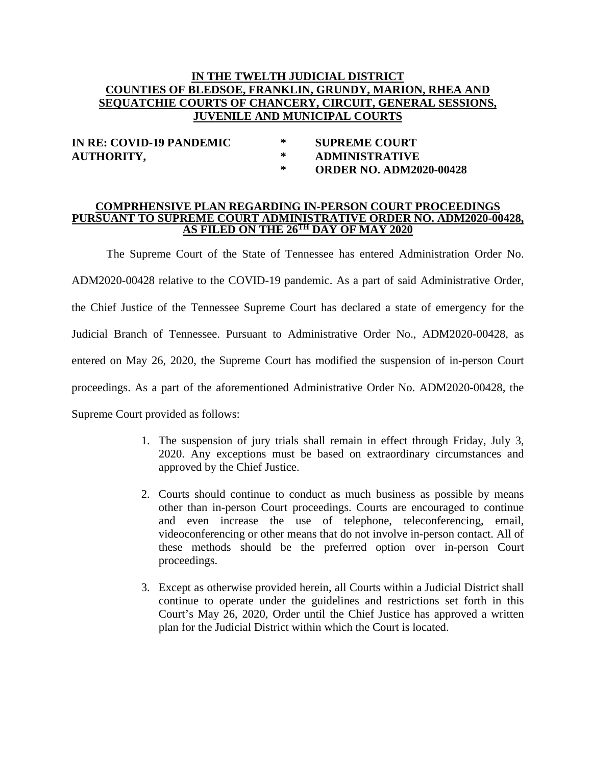# **IN THE TWELTH JUDICIAL DISTRICT COUNTIES OF BLEDSOE, FRANKLIN, GRUNDY, MARION, RHEA AND SEQUATCHIE COURTS OF CHANCERY, CIRCUIT, GENERAL SESSIONS, JUVENILE AND MUNICIPAL COURTS**

**IN RE: COVID-19 PANDEMIC \* SUPREME COURT AUTHORITY, \* ADMINISTRATIVE**

**\* ORDER NO. ADM2020-00428**

#### **COMPRHENSIVE PLAN REGARDING IN-PERSON COURT PROCEEDINGS PURSUANT TO SUPREME COURT ADMINISTRATIVE ORDER NO. ADM2020-00428, AS FILED ON THE 26TH DAY OF MAY 2020**

The Supreme Court of the State of Tennessee has entered Administration Order No. ADM2020-00428 relative to the COVID-19 pandemic. As a part of said Administrative Order, the Chief Justice of the Tennessee Supreme Court has declared a state of emergency for the Judicial Branch of Tennessee. Pursuant to Administrative Order No., ADM2020-00428, as entered on May 26, 2020, the Supreme Court has modified the suspension of in-person Court proceedings. As a part of the aforementioned Administrative Order No. ADM2020-00428, the Supreme Court provided as follows:

- 1. The suspension of jury trials shall remain in effect through Friday, July 3, 2020. Any exceptions must be based on extraordinary circumstances and approved by the Chief Justice.
- 2. Courts should continue to conduct as much business as possible by means other than in-person Court proceedings. Courts are encouraged to continue and even increase the use of telephone, teleconferencing, email, videoconferencing or other means that do not involve in-person contact. All of these methods should be the preferred option over in-person Court proceedings.
- 3. Except as otherwise provided herein, all Courts within a Judicial District shall continue to operate under the guidelines and restrictions set forth in this Court's May 26, 2020, Order until the Chief Justice has approved a written plan for the Judicial District within which the Court is located.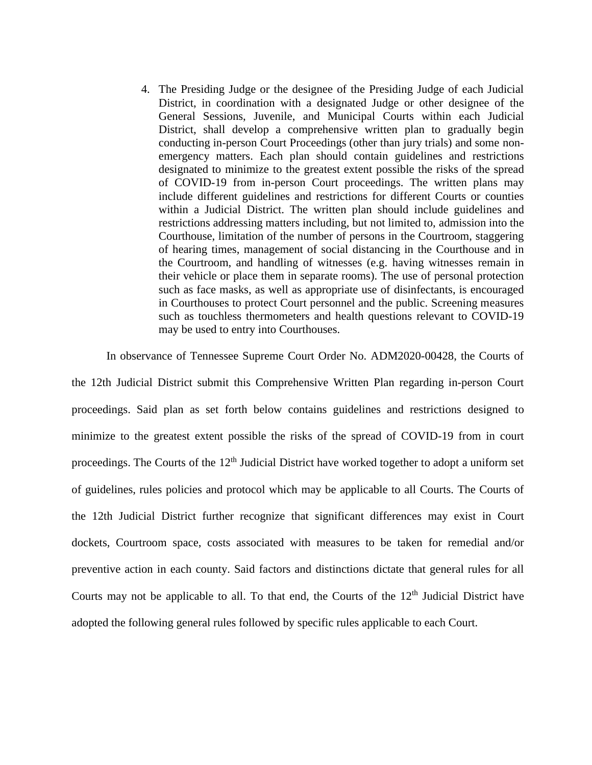4. The Presiding Judge or the designee of the Presiding Judge of each Judicial District, in coordination with a designated Judge or other designee of the General Sessions, Juvenile, and Municipal Courts within each Judicial District, shall develop a comprehensive written plan to gradually begin conducting in-person Court Proceedings (other than jury trials) and some nonemergency matters. Each plan should contain guidelines and restrictions designated to minimize to the greatest extent possible the risks of the spread of COVID-19 from in-person Court proceedings. The written plans may include different guidelines and restrictions for different Courts or counties within a Judicial District. The written plan should include guidelines and restrictions addressing matters including, but not limited to, admission into the Courthouse, limitation of the number of persons in the Courtroom, staggering of hearing times, management of social distancing in the Courthouse and in the Courtroom, and handling of witnesses (e.g. having witnesses remain in their vehicle or place them in separate rooms). The use of personal protection such as face masks, as well as appropriate use of disinfectants, is encouraged in Courthouses to protect Court personnel and the public. Screening measures such as touchless thermometers and health questions relevant to COVID-19 may be used to entry into Courthouses.

In observance of Tennessee Supreme Court Order No. ADM2020-00428, the Courts of

the 12th Judicial District submit this Comprehensive Written Plan regarding in-person Court proceedings. Said plan as set forth below contains guidelines and restrictions designed to minimize to the greatest extent possible the risks of the spread of COVID-19 from in court proceedings. The Courts of the 12<sup>th</sup> Judicial District have worked together to adopt a uniform set of guidelines, rules policies and protocol which may be applicable to all Courts. The Courts of the 12th Judicial District further recognize that significant differences may exist in Court dockets, Courtroom space, costs associated with measures to be taken for remedial and/or preventive action in each county. Said factors and distinctions dictate that general rules for all Courts may not be applicable to all. To that end, the Courts of the  $12<sup>th</sup>$  Judicial District have adopted the following general rules followed by specific rules applicable to each Court.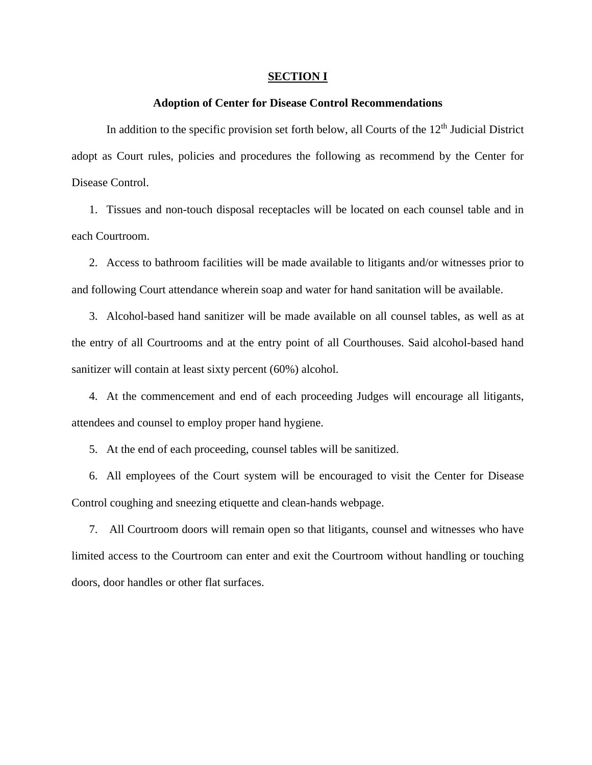#### **SECTION I**

#### **Adoption of Center for Disease Control Recommendations**

In addition to the specific provision set forth below, all Courts of the  $12<sup>th</sup>$  Judicial District adopt as Court rules, policies and procedures the following as recommend by the Center for Disease Control.

1. Tissues and non-touch disposal receptacles will be located on each counsel table and in each Courtroom.

2. Access to bathroom facilities will be made available to litigants and/or witnesses prior to and following Court attendance wherein soap and water for hand sanitation will be available.

3. Alcohol-based hand sanitizer will be made available on all counsel tables, as well as at the entry of all Courtrooms and at the entry point of all Courthouses. Said alcohol-based hand sanitizer will contain at least sixty percent (60%) alcohol.

4. At the commencement and end of each proceeding Judges will encourage all litigants, attendees and counsel to employ proper hand hygiene.

5. At the end of each proceeding, counsel tables will be sanitized.

6. All employees of the Court system will be encouraged to visit the Center for Disease Control coughing and sneezing etiquette and clean-hands webpage.

7. All Courtroom doors will remain open so that litigants, counsel and witnesses who have limited access to the Courtroom can enter and exit the Courtroom without handling or touching doors, door handles or other flat surfaces.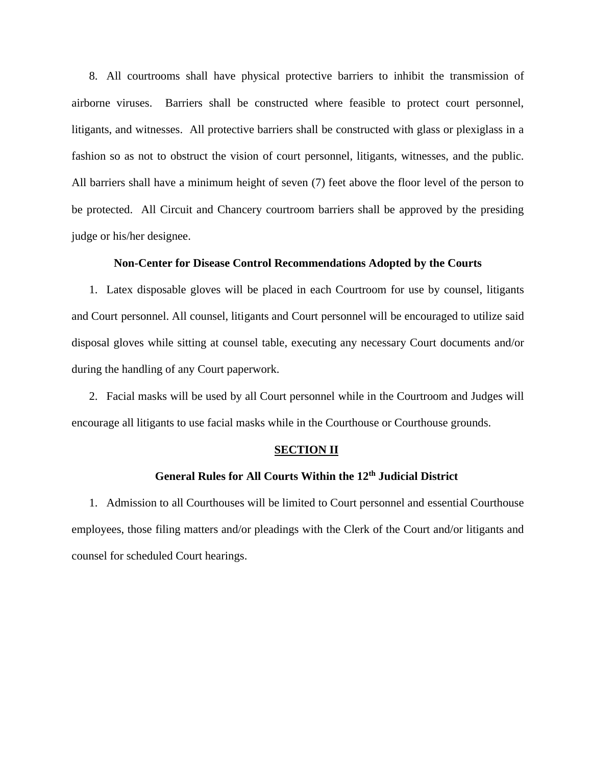8. All courtrooms shall have physical protective barriers to inhibit the transmission of airborne viruses. Barriers shall be constructed where feasible to protect court personnel, litigants, and witnesses. All protective barriers shall be constructed with glass or plexiglass in a fashion so as not to obstruct the vision of court personnel, litigants, witnesses, and the public. All barriers shall have a minimum height of seven (7) feet above the floor level of the person to be protected. All Circuit and Chancery courtroom barriers shall be approved by the presiding judge or his/her designee.

#### **Non-Center for Disease Control Recommendations Adopted by the Courts**

1. Latex disposable gloves will be placed in each Courtroom for use by counsel, litigants and Court personnel. All counsel, litigants and Court personnel will be encouraged to utilize said disposal gloves while sitting at counsel table, executing any necessary Court documents and/or during the handling of any Court paperwork.

2. Facial masks will be used by all Court personnel while in the Courtroom and Judges will encourage all litigants to use facial masks while in the Courthouse or Courthouse grounds.

#### **SECTION II**

# **General Rules for All Courts Within the 12th Judicial District**

1. Admission to all Courthouses will be limited to Court personnel and essential Courthouse employees, those filing matters and/or pleadings with the Clerk of the Court and/or litigants and counsel for scheduled Court hearings.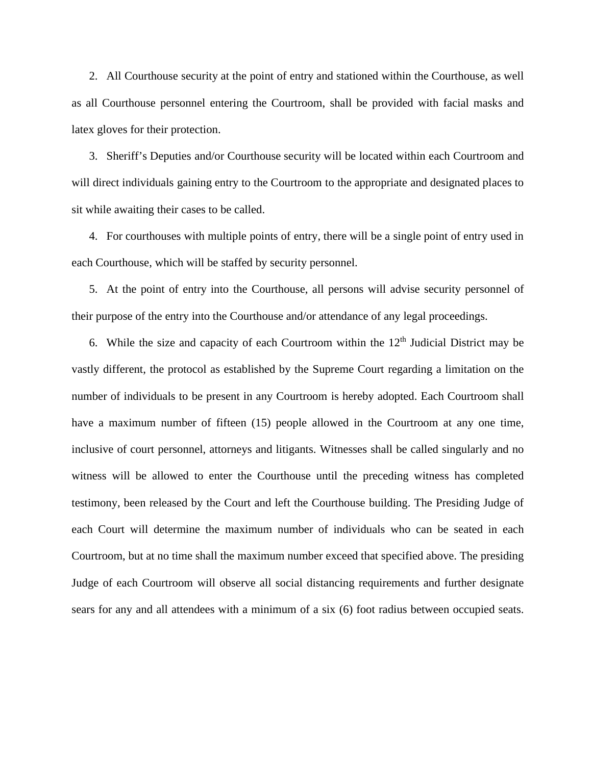2. All Courthouse security at the point of entry and stationed within the Courthouse, as well as all Courthouse personnel entering the Courtroom, shall be provided with facial masks and latex gloves for their protection.

3. Sheriff's Deputies and/or Courthouse security will be located within each Courtroom and will direct individuals gaining entry to the Courtroom to the appropriate and designated places to sit while awaiting their cases to be called.

4. For courthouses with multiple points of entry, there will be a single point of entry used in each Courthouse, which will be staffed by security personnel.

5. At the point of entry into the Courthouse, all persons will advise security personnel of their purpose of the entry into the Courthouse and/or attendance of any legal proceedings.

6. While the size and capacity of each Courtroom within the  $12<sup>th</sup>$  Judicial District may be vastly different, the protocol as established by the Supreme Court regarding a limitation on the number of individuals to be present in any Courtroom is hereby adopted. Each Courtroom shall have a maximum number of fifteen (15) people allowed in the Courtroom at any one time, inclusive of court personnel, attorneys and litigants. Witnesses shall be called singularly and no witness will be allowed to enter the Courthouse until the preceding witness has completed testimony, been released by the Court and left the Courthouse building. The Presiding Judge of each Court will determine the maximum number of individuals who can be seated in each Courtroom, but at no time shall the maximum number exceed that specified above. The presiding Judge of each Courtroom will observe all social distancing requirements and further designate sears for any and all attendees with a minimum of a six (6) foot radius between occupied seats.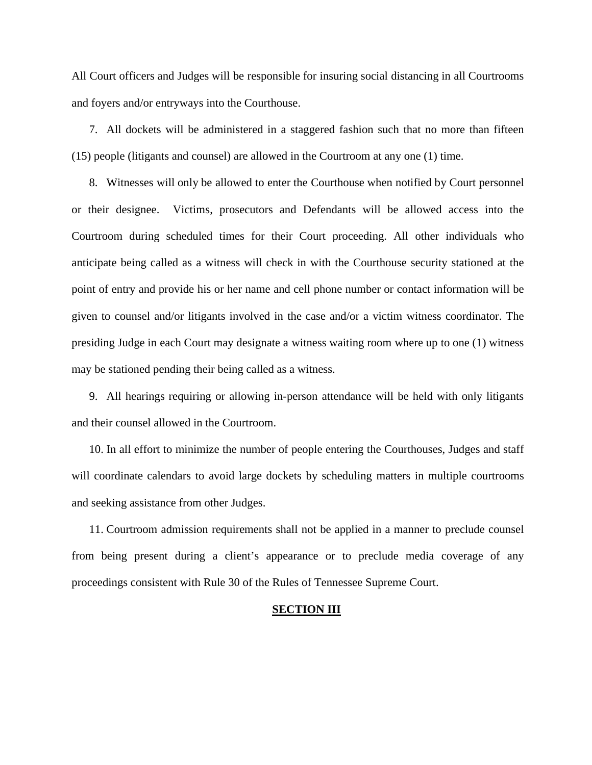All Court officers and Judges will be responsible for insuring social distancing in all Courtrooms and foyers and/or entryways into the Courthouse.

7. All dockets will be administered in a staggered fashion such that no more than fifteen (15) people (litigants and counsel) are allowed in the Courtroom at any one (1) time.

8. Witnesses will only be allowed to enter the Courthouse when notified by Court personnel or their designee. Victims, prosecutors and Defendants will be allowed access into the Courtroom during scheduled times for their Court proceeding. All other individuals who anticipate being called as a witness will check in with the Courthouse security stationed at the point of entry and provide his or her name and cell phone number or contact information will be given to counsel and/or litigants involved in the case and/or a victim witness coordinator. The presiding Judge in each Court may designate a witness waiting room where up to one (1) witness may be stationed pending their being called as a witness.

9. All hearings requiring or allowing in-person attendance will be held with only litigants and their counsel allowed in the Courtroom.

10. In all effort to minimize the number of people entering the Courthouses, Judges and staff will coordinate calendars to avoid large dockets by scheduling matters in multiple courtrooms and seeking assistance from other Judges.

11. Courtroom admission requirements shall not be applied in a manner to preclude counsel from being present during a client's appearance or to preclude media coverage of any proceedings consistent with Rule 30 of the Rules of Tennessee Supreme Court.

#### **SECTION III**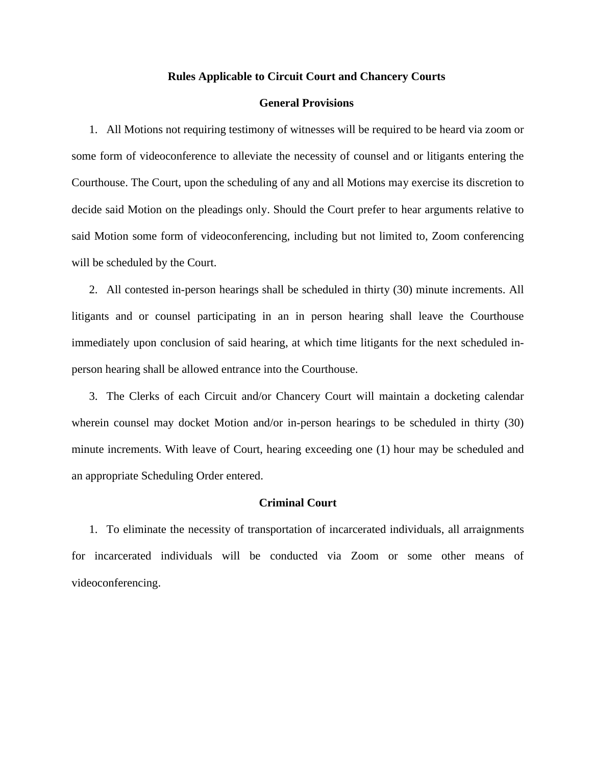#### **Rules Applicable to Circuit Court and Chancery Courts**

#### **General Provisions**

1. All Motions not requiring testimony of witnesses will be required to be heard via zoom or some form of videoconference to alleviate the necessity of counsel and or litigants entering the Courthouse. The Court, upon the scheduling of any and all Motions may exercise its discretion to decide said Motion on the pleadings only. Should the Court prefer to hear arguments relative to said Motion some form of videoconferencing, including but not limited to, Zoom conferencing will be scheduled by the Court.

2. All contested in-person hearings shall be scheduled in thirty (30) minute increments. All litigants and or counsel participating in an in person hearing shall leave the Courthouse immediately upon conclusion of said hearing, at which time litigants for the next scheduled inperson hearing shall be allowed entrance into the Courthouse.

3. The Clerks of each Circuit and/or Chancery Court will maintain a docketing calendar wherein counsel may docket Motion and/or in-person hearings to be scheduled in thirty (30) minute increments. With leave of Court, hearing exceeding one (1) hour may be scheduled and an appropriate Scheduling Order entered.

#### **Criminal Court**

1. To eliminate the necessity of transportation of incarcerated individuals, all arraignments for incarcerated individuals will be conducted via Zoom or some other means of videoconferencing.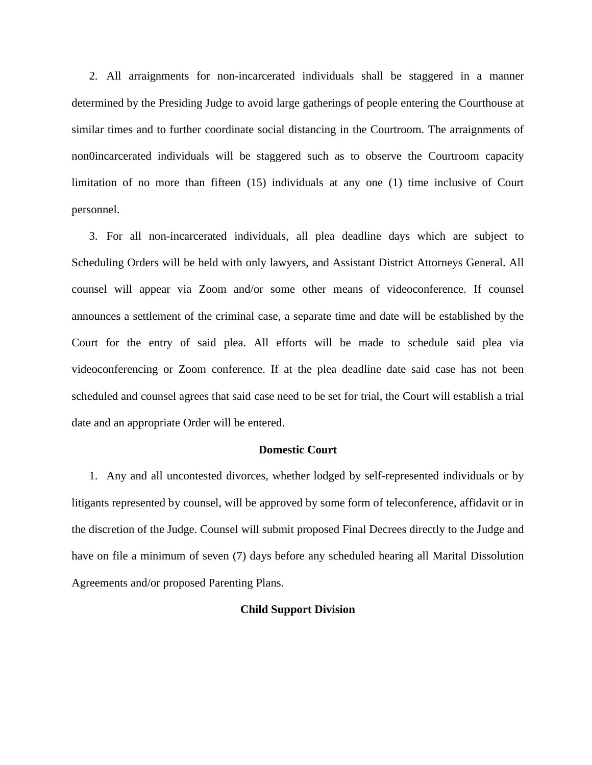2. All arraignments for non-incarcerated individuals shall be staggered in a manner determined by the Presiding Judge to avoid large gatherings of people entering the Courthouse at similar times and to further coordinate social distancing in the Courtroom. The arraignments of non0incarcerated individuals will be staggered such as to observe the Courtroom capacity limitation of no more than fifteen (15) individuals at any one (1) time inclusive of Court personnel.

3. For all non-incarcerated individuals, all plea deadline days which are subject to Scheduling Orders will be held with only lawyers, and Assistant District Attorneys General. All counsel will appear via Zoom and/or some other means of videoconference. If counsel announces a settlement of the criminal case, a separate time and date will be established by the Court for the entry of said plea. All efforts will be made to schedule said plea via videoconferencing or Zoom conference. If at the plea deadline date said case has not been scheduled and counsel agrees that said case need to be set for trial, the Court will establish a trial date and an appropriate Order will be entered.

#### **Domestic Court**

1. Any and all uncontested divorces, whether lodged by self-represented individuals or by litigants represented by counsel, will be approved by some form of teleconference, affidavit or in the discretion of the Judge. Counsel will submit proposed Final Decrees directly to the Judge and have on file a minimum of seven (7) days before any scheduled hearing all Marital Dissolution Agreements and/or proposed Parenting Plans.

#### **Child Support Division**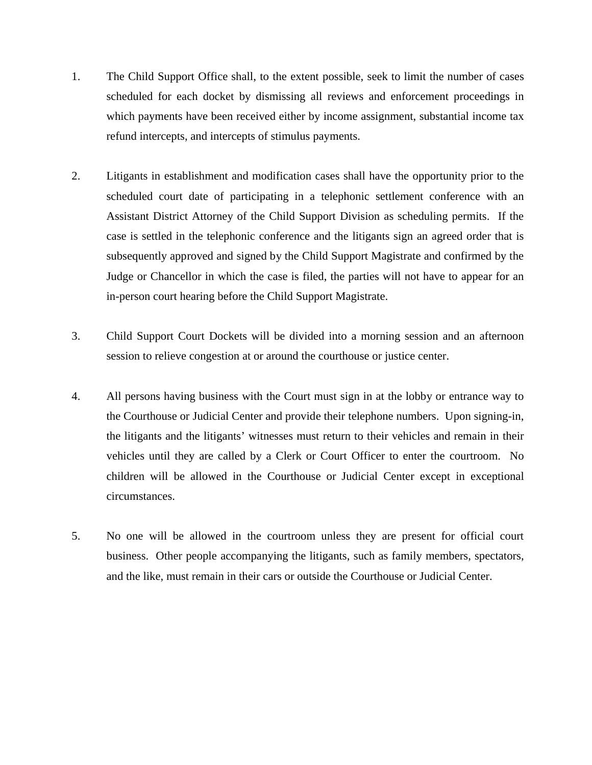- 1. The Child Support Office shall, to the extent possible, seek to limit the number of cases scheduled for each docket by dismissing all reviews and enforcement proceedings in which payments have been received either by income assignment, substantial income tax refund intercepts, and intercepts of stimulus payments.
- 2. Litigants in establishment and modification cases shall have the opportunity prior to the scheduled court date of participating in a telephonic settlement conference with an Assistant District Attorney of the Child Support Division as scheduling permits. If the case is settled in the telephonic conference and the litigants sign an agreed order that is subsequently approved and signed by the Child Support Magistrate and confirmed by the Judge or Chancellor in which the case is filed, the parties will not have to appear for an in-person court hearing before the Child Support Magistrate.
- 3. Child Support Court Dockets will be divided into a morning session and an afternoon session to relieve congestion at or around the courthouse or justice center.
- 4. All persons having business with the Court must sign in at the lobby or entrance way to the Courthouse or Judicial Center and provide their telephone numbers. Upon signing-in, the litigants and the litigants' witnesses must return to their vehicles and remain in their vehicles until they are called by a Clerk or Court Officer to enter the courtroom. No children will be allowed in the Courthouse or Judicial Center except in exceptional circumstances.
- 5. No one will be allowed in the courtroom unless they are present for official court business. Other people accompanying the litigants, such as family members, spectators, and the like, must remain in their cars or outside the Courthouse or Judicial Center.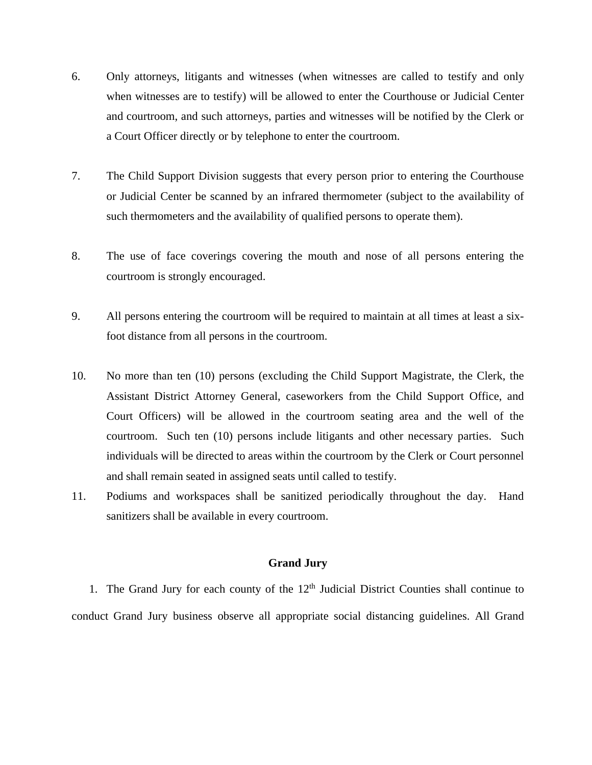- 6. Only attorneys, litigants and witnesses (when witnesses are called to testify and only when witnesses are to testify) will be allowed to enter the Courthouse or Judicial Center and courtroom, and such attorneys, parties and witnesses will be notified by the Clerk or a Court Officer directly or by telephone to enter the courtroom.
- 7. The Child Support Division suggests that every person prior to entering the Courthouse or Judicial Center be scanned by an infrared thermometer (subject to the availability of such thermometers and the availability of qualified persons to operate them).
- 8. The use of face coverings covering the mouth and nose of all persons entering the courtroom is strongly encouraged.
- 9. All persons entering the courtroom will be required to maintain at all times at least a sixfoot distance from all persons in the courtroom.
- 10. No more than ten (10) persons (excluding the Child Support Magistrate, the Clerk, the Assistant District Attorney General, caseworkers from the Child Support Office, and Court Officers) will be allowed in the courtroom seating area and the well of the courtroom. Such ten (10) persons include litigants and other necessary parties. Such individuals will be directed to areas within the courtroom by the Clerk or Court personnel and shall remain seated in assigned seats until called to testify.
- 11. Podiums and workspaces shall be sanitized periodically throughout the day. Hand sanitizers shall be available in every courtroom.

#### **Grand Jury**

1. The Grand Jury for each county of the  $12<sup>th</sup>$  Judicial District Counties shall continue to conduct Grand Jury business observe all appropriate social distancing guidelines. All Grand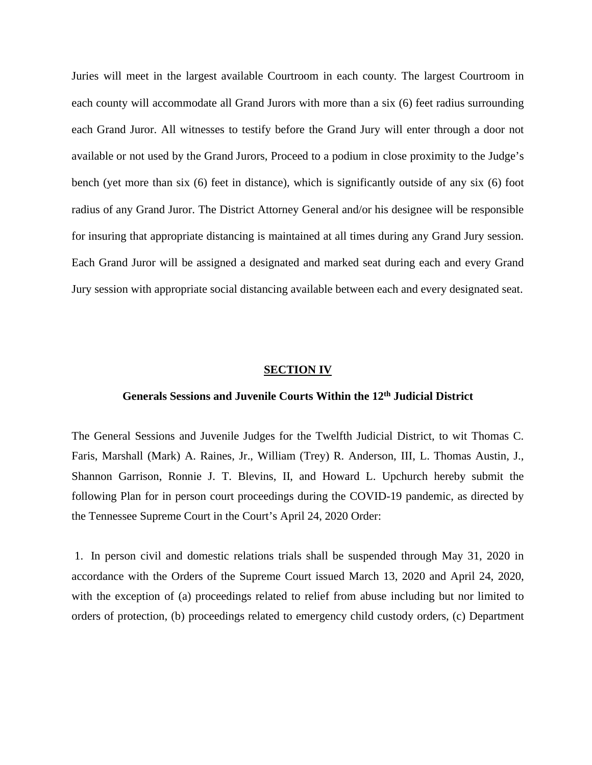Juries will meet in the largest available Courtroom in each county. The largest Courtroom in each county will accommodate all Grand Jurors with more than a six (6) feet radius surrounding each Grand Juror. All witnesses to testify before the Grand Jury will enter through a door not available or not used by the Grand Jurors, Proceed to a podium in close proximity to the Judge's bench (yet more than six (6) feet in distance), which is significantly outside of any six (6) foot radius of any Grand Juror. The District Attorney General and/or his designee will be responsible for insuring that appropriate distancing is maintained at all times during any Grand Jury session. Each Grand Juror will be assigned a designated and marked seat during each and every Grand Jury session with appropriate social distancing available between each and every designated seat.

#### **SECTION IV**

## **Generals Sessions and Juvenile Courts Within the 12th Judicial District**

The General Sessions and Juvenile Judges for the Twelfth Judicial District, to wit Thomas C. Faris, Marshall (Mark) A. Raines, Jr., William (Trey) R. Anderson, III, L. Thomas Austin, J., Shannon Garrison, Ronnie J. T. Blevins, II, and Howard L. Upchurch hereby submit the following Plan for in person court proceedings during the COVID-19 pandemic, as directed by the Tennessee Supreme Court in the Court's April 24, 2020 Order:

1. In person civil and domestic relations trials shall be suspended through May 31, 2020 in accordance with the Orders of the Supreme Court issued March 13, 2020 and April 24, 2020, with the exception of (a) proceedings related to relief from abuse including but nor limited to orders of protection, (b) proceedings related to emergency child custody orders, (c) Department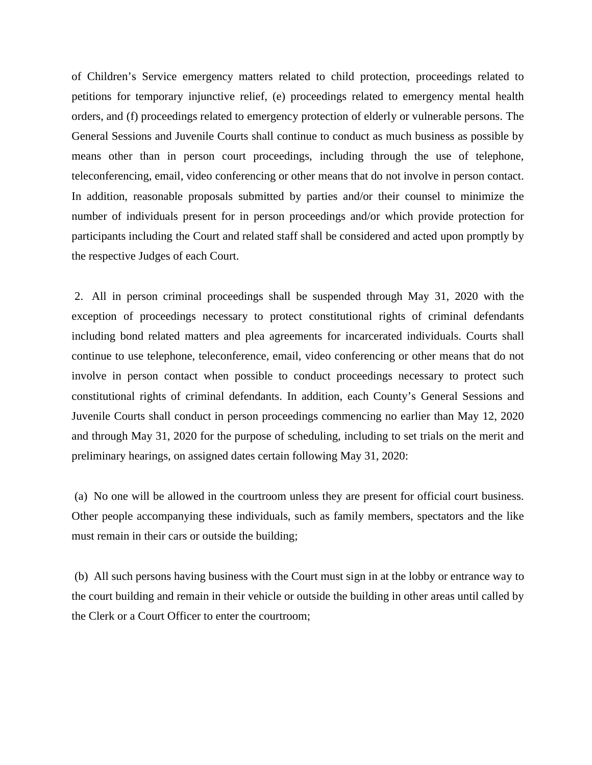of Children's Service emergency matters related to child protection, proceedings related to petitions for temporary injunctive relief, (e) proceedings related to emergency mental health orders, and (f) proceedings related to emergency protection of elderly or vulnerable persons. The General Sessions and Juvenile Courts shall continue to conduct as much business as possible by means other than in person court proceedings, including through the use of telephone, teleconferencing, email, video conferencing or other means that do not involve in person contact. In addition, reasonable proposals submitted by parties and/or their counsel to minimize the number of individuals present for in person proceedings and/or which provide protection for participants including the Court and related staff shall be considered and acted upon promptly by the respective Judges of each Court.

2. All in person criminal proceedings shall be suspended through May 31, 2020 with the exception of proceedings necessary to protect constitutional rights of criminal defendants including bond related matters and plea agreements for incarcerated individuals. Courts shall continue to use telephone, teleconference, email, video conferencing or other means that do not involve in person contact when possible to conduct proceedings necessary to protect such constitutional rights of criminal defendants. In addition, each County's General Sessions and Juvenile Courts shall conduct in person proceedings commencing no earlier than May 12, 2020 and through May 31, 2020 for the purpose of scheduling, including to set trials on the merit and preliminary hearings, on assigned dates certain following May 31, 2020:

(a) No one will be allowed in the courtroom unless they are present for official court business. Other people accompanying these individuals, such as family members, spectators and the like must remain in their cars or outside the building;

(b) All such persons having business with the Court must sign in at the lobby or entrance way to the court building and remain in their vehicle or outside the building in other areas until called by the Clerk or a Court Officer to enter the courtroom;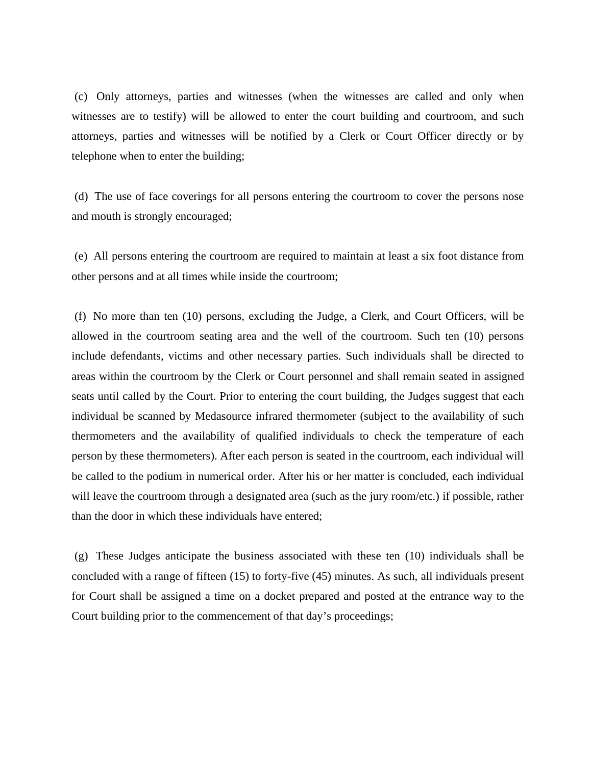(c) Only attorneys, parties and witnesses (when the witnesses are called and only when witnesses are to testify) will be allowed to enter the court building and courtroom, and such attorneys, parties and witnesses will be notified by a Clerk or Court Officer directly or by telephone when to enter the building;

(d) The use of face coverings for all persons entering the courtroom to cover the persons nose and mouth is strongly encouraged;

(e) All persons entering the courtroom are required to maintain at least a six foot distance from other persons and at all times while inside the courtroom;

(f) No more than ten (10) persons, excluding the Judge, a Clerk, and Court Officers, will be allowed in the courtroom seating area and the well of the courtroom. Such ten (10) persons include defendants, victims and other necessary parties. Such individuals shall be directed to areas within the courtroom by the Clerk or Court personnel and shall remain seated in assigned seats until called by the Court. Prior to entering the court building, the Judges suggest that each individual be scanned by Medasource infrared thermometer (subject to the availability of such thermometers and the availability of qualified individuals to check the temperature of each person by these thermometers). After each person is seated in the courtroom, each individual will be called to the podium in numerical order. After his or her matter is concluded, each individual will leave the courtroom through a designated area (such as the jury room/etc.) if possible, rather than the door in which these individuals have entered;

(g) These Judges anticipate the business associated with these ten (10) individuals shall be concluded with a range of fifteen (15) to forty-five (45) minutes. As such, all individuals present for Court shall be assigned a time on a docket prepared and posted at the entrance way to the Court building prior to the commencement of that day's proceedings;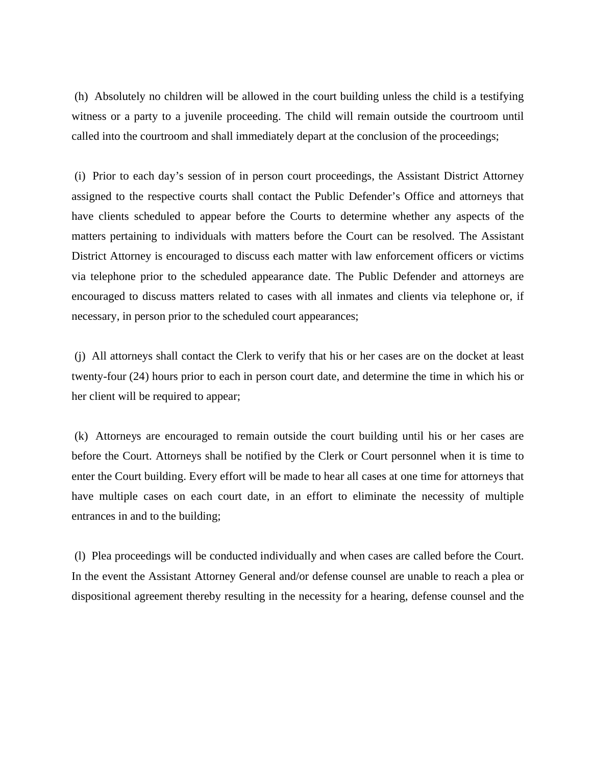(h) Absolutely no children will be allowed in the court building unless the child is a testifying witness or a party to a juvenile proceeding. The child will remain outside the courtroom until called into the courtroom and shall immediately depart at the conclusion of the proceedings;

(i) Prior to each day's session of in person court proceedings, the Assistant District Attorney assigned to the respective courts shall contact the Public Defender's Office and attorneys that have clients scheduled to appear before the Courts to determine whether any aspects of the matters pertaining to individuals with matters before the Court can be resolved. The Assistant District Attorney is encouraged to discuss each matter with law enforcement officers or victims via telephone prior to the scheduled appearance date. The Public Defender and attorneys are encouraged to discuss matters related to cases with all inmates and clients via telephone or, if necessary, in person prior to the scheduled court appearances;

(j) All attorneys shall contact the Clerk to verify that his or her cases are on the docket at least twenty-four (24) hours prior to each in person court date, and determine the time in which his or her client will be required to appear;

(k) Attorneys are encouraged to remain outside the court building until his or her cases are before the Court. Attorneys shall be notified by the Clerk or Court personnel when it is time to enter the Court building. Every effort will be made to hear all cases at one time for attorneys that have multiple cases on each court date, in an effort to eliminate the necessity of multiple entrances in and to the building;

(l) Plea proceedings will be conducted individually and when cases are called before the Court. In the event the Assistant Attorney General and/or defense counsel are unable to reach a plea or dispositional agreement thereby resulting in the necessity for a hearing, defense counsel and the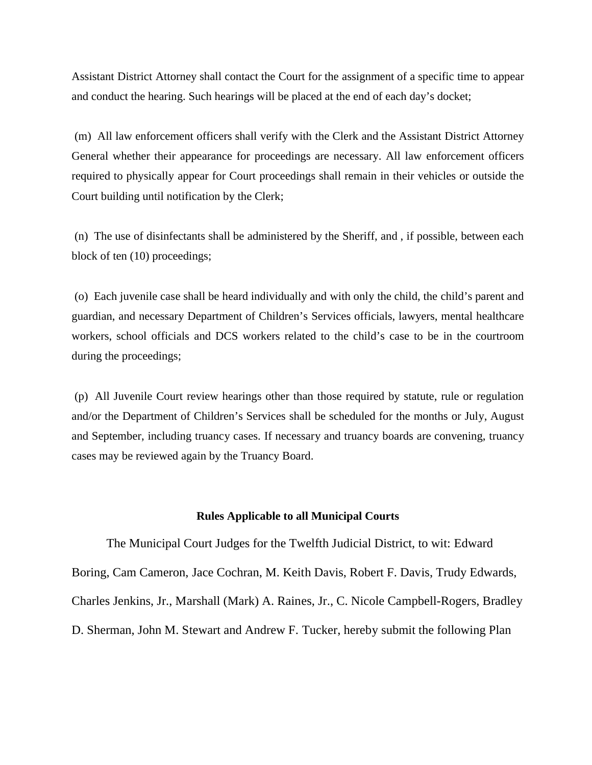Assistant District Attorney shall contact the Court for the assignment of a specific time to appear and conduct the hearing. Such hearings will be placed at the end of each day's docket;

(m) All law enforcement officers shall verify with the Clerk and the Assistant District Attorney General whether their appearance for proceedings are necessary. All law enforcement officers required to physically appear for Court proceedings shall remain in their vehicles or outside the Court building until notification by the Clerk;

(n) The use of disinfectants shall be administered by the Sheriff, and , if possible, between each block of ten (10) proceedings;

(o) Each juvenile case shall be heard individually and with only the child, the child's parent and guardian, and necessary Department of Children's Services officials, lawyers, mental healthcare workers, school officials and DCS workers related to the child's case to be in the courtroom during the proceedings;

(p) All Juvenile Court review hearings other than those required by statute, rule or regulation and/or the Department of Children's Services shall be scheduled for the months or July, August and September, including truancy cases. If necessary and truancy boards are convening, truancy cases may be reviewed again by the Truancy Board.

#### **Rules Applicable to all Municipal Courts**

The Municipal Court Judges for the Twelfth Judicial District, to wit: Edward Boring, Cam Cameron, Jace Cochran, M. Keith Davis, Robert F. Davis, Trudy Edwards, Charles Jenkins, Jr., Marshall (Mark) A. Raines, Jr., C. Nicole Campbell-Rogers, Bradley D. Sherman, John M. Stewart and Andrew F. Tucker, hereby submit the following Plan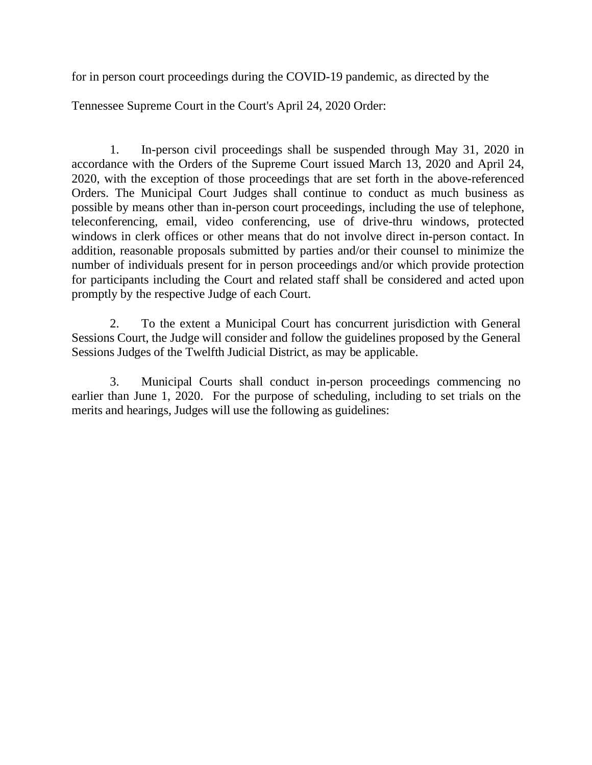for in person court proceedings during the COVID-19 pandemic, as directed by the

Tennessee Supreme Court in the Court's April 24, 2020 Order:

1. In-person civil proceedings shall be suspended through May 31, 2020 in accordance with the Orders of the Supreme Court issued March 13, 2020 and April 24, 2020, with the exception of those proceedings that are set forth in the above-referenced Orders. The Municipal Court Judges shall continue to conduct as much business as possible by means other than in-person court proceedings, including the use of telephone, teleconferencing, email, video conferencing, use of drive-thru windows, protected windows in clerk offices or other means that do not involve direct in-person contact. In addition, reasonable proposals submitted by parties and/or their counsel to minimize the number of individuals present for in person proceedings and/or which provide protection for participants including the Court and related staff shall be considered and acted upon promptly by the respective Judge of each Court.

2. To the extent a Municipal Court has concurrent jurisdiction with General Sessions Court, the Judge will consider and follow the guidelines proposed by the General Sessions Judges of the Twelfth Judicial District, as may be applicable.

3. Municipal Courts shall conduct in-person proceedings commencing no earlier than June 1, 2020. For the purpose of scheduling, including to set trials on the merits and hearings, Judges will use the following as guidelines: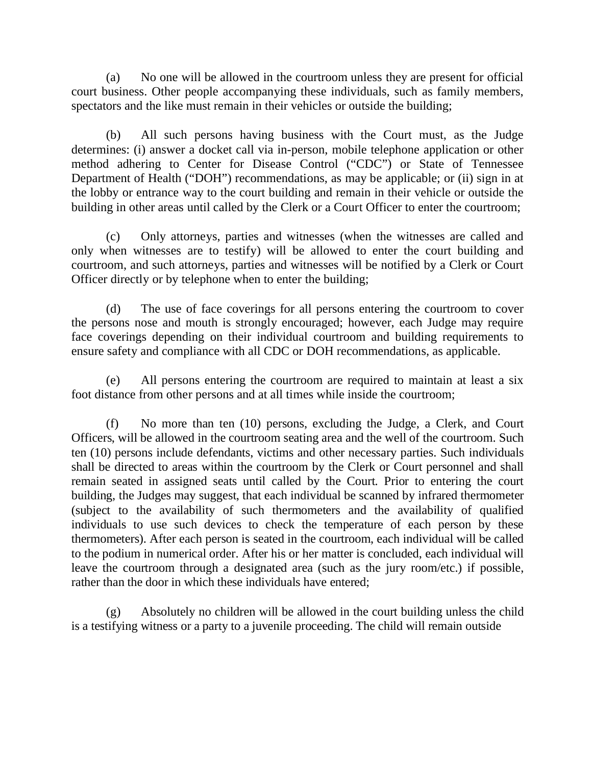(a) No one will be allowed in the courtroom unless they are present for official court business. Other people accompanying these individuals, such as family members, spectators and the like must remain in their vehicles or outside the building;

(b) All such persons having business with the Court must, as the Judge determines: (i) answer a docket call via in-person, mobile telephone application or other method adhering to Center for Disease Control ("CDC") or State of Tennessee Department of Health ("DOH") recommendations, as may be applicable; or (ii) sign in at the lobby or entrance way to the court building and remain in their vehicle or outside the building in other areas until called by the Clerk or a Court Officer to enter the courtroom;

(c) Only attorneys, parties and witnesses (when the witnesses are called and only when witnesses are to testify) will be allowed to enter the court building and courtroom, and such attorneys, parties and witnesses will be notified by a Clerk or Court Officer directly or by telephone when to enter the building;

(d) The use of face coverings for all persons entering the courtroom to cover the persons nose and mouth is strongly encouraged; however, each Judge may require face coverings depending on their individual courtroom and building requirements to ensure safety and compliance with all CDC or DOH recommendations, as applicable.

(e) All persons entering the courtroom are required to maintain at least a six foot distance from other persons and at all times while inside the courtroom;

(f) No more than ten (10) persons, excluding the Judge, a Clerk, and Court Officers, will be allowed in the courtroom seating area and the well of the courtroom. Such ten (10) persons include defendants, victims and other necessary parties. Such individuals shall be directed to areas within the courtroom by the Clerk or Court personnel and shall remain seated in assigned seats until called by the Court. Prior to entering the court building, the Judges may suggest, that each individual be scanned by infrared thermometer (subject to the availability of such thermometers and the availability of qualified individuals to use such devices to check the temperature of each person by these thermometers). After each person is seated in the courtroom, each individual will be called to the podium in numerical order. After his or her matter is concluded, each individual will leave the courtroom through a designated area (such as the jury room/etc.) if possible, rather than the door in which these individuals have entered;

(g) Absolutely no children will be allowed in the court building unless the child is a testifying witness or a party to a juvenile proceeding. The child will remain outside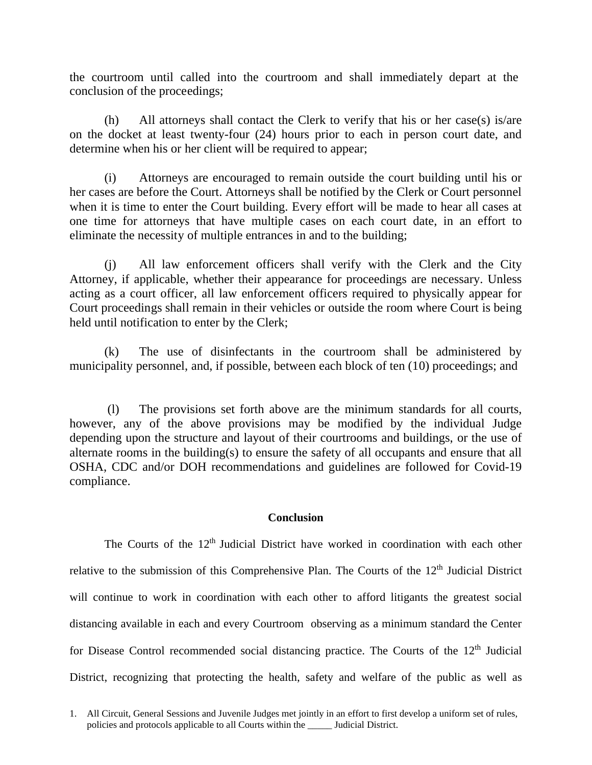the courtroom until called into the courtroom and shall immediately depart at the conclusion of the proceedings;

(h) All attorneys shall contact the Clerk to verify that his or her case(s) is/are on the docket at least twenty-four (24) hours prior to each in person court date, and determine when his or her client will be required to appear;

(i) Attorneys are encouraged to remain outside the court building until his or her cases are before the Court. Attorneys shall be notified by the Clerk or Court personnel when it is time to enter the Court building. Every effort will be made to hear all cases at one time for attorneys that have multiple cases on each court date, in an effort to eliminate the necessity of multiple entrances in and to the building;

(j) All law enforcement officers shall verify with the Clerk and the City Attorney, if applicable, whether their appearance for proceedings are necessary. Unless acting as a court officer, all law enforcement officers required to physically appear for Court proceedings shall remain in their vehicles or outside the room where Court is being held until notification to enter by the Clerk;

(k) The use of disinfectants in the courtroom shall be administered by municipality personnel, and, if possible, between each block of ten (10) proceedings; and

(l) The provisions set forth above are the minimum standards for all courts, however, any of the above provisions may be modified by the individual Judge depending upon the structure and layout of their courtrooms and buildings, or the use of alternate rooms in the building(s) to ensure the safety of all occupants and ensure that all OSHA, CDC and/or DOH recommendations and guidelines are followed for Covid-19 compliance.

### **Conclusion**

The Courts of the  $12<sup>th</sup>$  Judicial District have worked in coordination with each other relative to the submission of this Comprehensive Plan. The Courts of the 12<sup>th</sup> Judicial District will continue to work in coordination with each other to afford litigants the greatest social distancing available in each and every Courtroom observing as a minimum standard the Center for Disease Control recommended social distancing practice. The Courts of the 12<sup>th</sup> Judicial District, recognizing that protecting the health, safety and welfare of the public as well as

<sup>1.</sup> All Circuit, General Sessions and Juvenile Judges met jointly in an effort to first develop a uniform set of rules, policies and protocols applicable to all Courts within the \_\_\_\_\_ Judicial District.